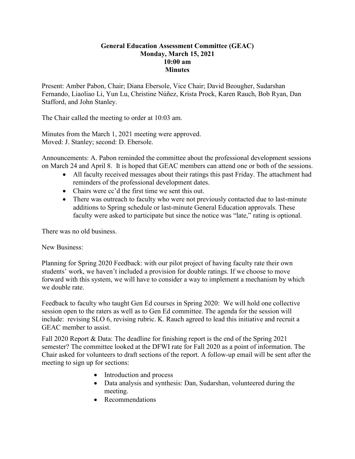## **General Education Assessment Committee (GEAC) Monday, March 15, 2021 10:00 am Minutes**

Present: Amber Pabon, Chair; Diana Ebersole, Vice Chair; David Beougher, Sudarshan Fernando, Liaoliao Li, Yun Lu, Christine Núñez, Krista Prock, Karen Rauch, Bob Ryan, Dan Stafford, and John Stanley.

The Chair called the meeting to order at 10:03 am.

Minutes from the March 1, 2021 meeting were approved. Moved: J. Stanley; second: D. Ebersole.

Announcements: A. Pabon reminded the committee about the professional development sessions on March 24 and April 8. It is hoped that GEAC members can attend one or both of the sessions.

- All faculty received messages about their ratings this past Friday. The attachment had reminders of the professional development dates.
- Chairs were cc'd the first time we sent this out.
- There was outreach to faculty who were not previously contacted due to last-minute additions to Spring schedule or last-minute General Education approvals. These faculty were asked to participate but since the notice was "late," rating is optional.

There was no old business.

New Business:

Planning for Spring 2020 Feedback: with our pilot project of having faculty rate their own students' work, we haven't included a provision for double ratings. If we choose to move forward with this system, we will have to consider a way to implement a mechanism by which we double rate.

Feedback to faculty who taught Gen Ed courses in Spring 2020: We will hold one collective session open to the raters as well as to Gen Ed committee. The agenda for the session will include: revising SLO 6, revising rubric. K. Rauch agreed to lead this initiative and recruit a GEAC member to assist.

Fall 2020 Report & Data: The deadline for finishing report is the end of the Spring 2021 semester? The committee looked at the DFWI rate for Fall 2020 as a point of information. The Chair asked for volunteers to draft sections of the report. A follow-up email will be sent after the meeting to sign up for sections:

- Introduction and process
- Data analysis and synthesis: Dan, Sudarshan, volunteered during the meeting.
- Recommendations